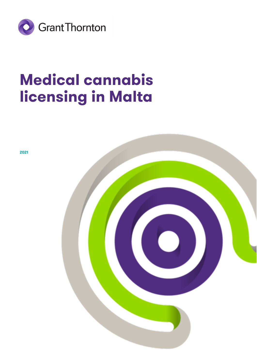

# **Medical cannabis licensing in Malta**

**2021**

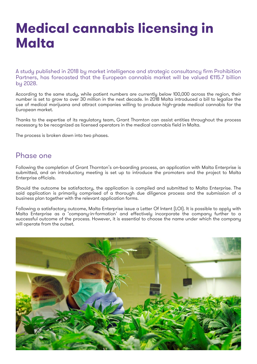## **Medical cannabis licensing in Malta**

A study published in 2018 by market intelligence and strategic consultancy firm Prohibition Partners, has forecasted that the European cannabis market will be valued €115.7 billion by 2028.

According to the same study, while patient numbers are currently below 100,000 across the region, their number is set to grow to over 30 million in the next decade. In 2018 Malta introduced a bill to legalize the use of medical marijuana and attract companies willing to produce high-grade medical cannabis for the European market.

Thanks to the expertise of its regulatory team, Grant Thornton can assist entities throughout the process necessary to be recognized as licensed operators in the medical cannabis field in Malta.

The process is broken down into two phases.

### Phase one

Following the completion of Grant Thornton's on-boarding process, an application with Malta Enterprise is submitted, and an introductory meeting is set up to introduce the promoters and the project to Malta Enterprise officials.

Should the outcome be satisfactory, the application is compiled and submitted to Malta Enterprise. The said application is primarily comprised of a thorough due diligence process and the submission of a business plan together with the relevant application forms.

Following a satisfactory outcome, Malta Enterprise issue a Letter Of Intent (LOI). It is possible to apply with Malta Enterprise as a 'company-in-formation' and effectively incorporate the company further to a successful outcome of the process. However, it is essential to choose the name under which the company will operate from the outset.

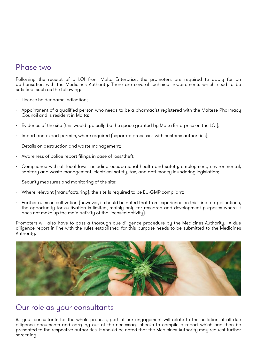## Phase two

Following the receipt of a LOI from Malta Enterprise, the promoters are required to apply for an authorisation with the Medicines Authority. There are several technical requirements which need to be satisfied, such as the following:

- License holder name indication;
- Appointment of a qualified person who needs to be a pharmacist registered with the Maltese Pharmacy Council and is resident in Malta;
- Evidence of the site (this would tupically be the space granted by Malta Enterprise on the LOI);
- Import and export permits, where required (separate processes with customs authorities);
- Details on destruction and waste management;
- Awareness of police report filings in case of loss/theft;
- Compliance with all local laws including occupational health and safety, employment, environmental, sanitary and waste management, electrical safety, tax, and anti-money laundering legislation;
- Security measures and monitoring of the site;
- Where relevant (manufacturing), the site Is required to be EU-GMP compliant;
- Further rules on cultivation (however, it should be noted that from experience on this kind of applications, the opportunity for cultivation is limited, mainly only for research and development purposes where it does not make up the main activity of the licensed activity).

Promoters will also have to pass a thorough due diligence procedure by the Medicines Authority. A due diligence report in line with the rules established for this purpose needs to be submitted to the Medicines Authority.



## Our role as your consultants

As your consultants for the whole process, part of our engagement will relate to the collation of all due diligence documents and carrying out of the necessary checks to compile a report which can then be presented to the respective authorities. It should be noted that the Medicines Authority may request further screening.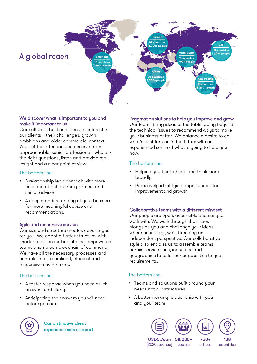

#### We discover what is important to you and make it important to us

Our culture is built on a genuine interest in our clients – their challenges, growth ambitions and wider commercial context. You get the attention you deserve from approachable, senior professionals who ask the right questions, listen and provide real insight and a clear point of view.

#### The bottom line

- A relationship-led approach with more time and attention from partners and senior advisers
- A deeper understanding of your business for more meaningful advice and recommendations.

#### Agile and responsive service

Our size and structure creates advantages for you. We adopt a flatter structure, with shorter decision making chains, empowered teams and no complex chain of command. We have all the necessary processes and controls in a streamlined, efficient and responsive environment.

#### The bottom line

- A faster response when you need quick answers and clarity
- Anticipating the answers you will need before you ask.

**Our distinctive client** experience sets us apart

#### Pragmatic solutions to help you improve and grow

Our teams bring ideas to the table, going beyond the technical issues to recommend ways to make your business better. We balance a desire to do what's best for you in the future with an experienced sense of what is going to help you now.

#### The bottom line

- Helping you think ahead and think more broadly
- Proactively identifying opportunities for improvement and growth

#### Collaborative teams with a different mindset

Our people are open, accessible and easy to work with. We work through the issues alongside you and challenge your ideas where necessary, whilst keeping an independent perspective. Our collaborative style also enables us to assemble teams across service lines, industries and geographies to tailor our capabilities to your requirements.

#### The bottom line

- Teams and solutions built around your needs not our structures
- A better working relationship with you and your team